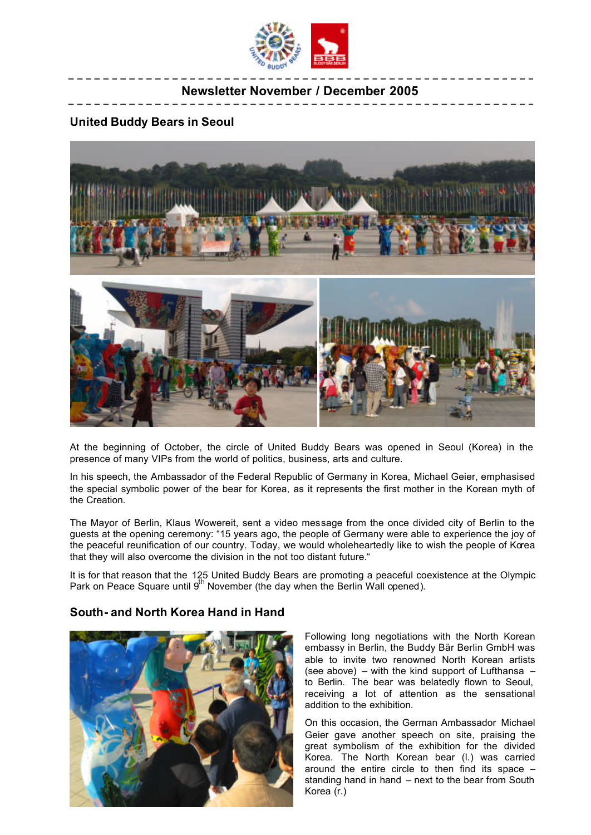

## **Newsletter November / December 2005**

#### **United Buddy Bears in Seoul**



At the beginning of October, the circle of United Buddy Bears was opened in Seoul (Korea) in the presence of many VIPs from the world of politics, business, arts and culture.

In his speech, the Ambassador of the Federal Republic of Germany in Korea, Michael Geier, emphasised the special symbolic power of the bear for Korea, as it represents the first mother in the Korean myth of the Creation.

The Mayor of Berlin, Klaus Wowereit, sent a video message from the once divided city of Berlin to the guests at the opening ceremony: "15 years ago, the people of Germany were able to experience the joy of the peaceful reunification of our country. Today, we would wholeheartedly like to wish the people of Korea that they will also overcome the division in the not too distant future."

It is for that reason that the 125 United Buddy Bears are promoting a peaceful coexistence at the Olympic Park on Peace Square until  $9<sup>th</sup>$  November (the day when the Berlin Wall opened).

#### **South- and North Korea Hand in Hand**



Following long negotiations with the North Korean embassy in Berlin, the Buddy Bär Berlin GmbH was able to invite two renowned North Korean artists (see above) – with the kind support of Lufthansa – to Berlin. The bear was belatedly flown to Seoul, receiving a lot of attention as the sensational addition to the exhibition.

On this occasion, the German Ambassador Michael Geier gave another speech on site, praising the great symbolism of the exhibition for the divided Korea. The North Korean bear (l.) was carried around the entire circle to then find its space – standing hand in hand – next to the bear from South Korea (r.)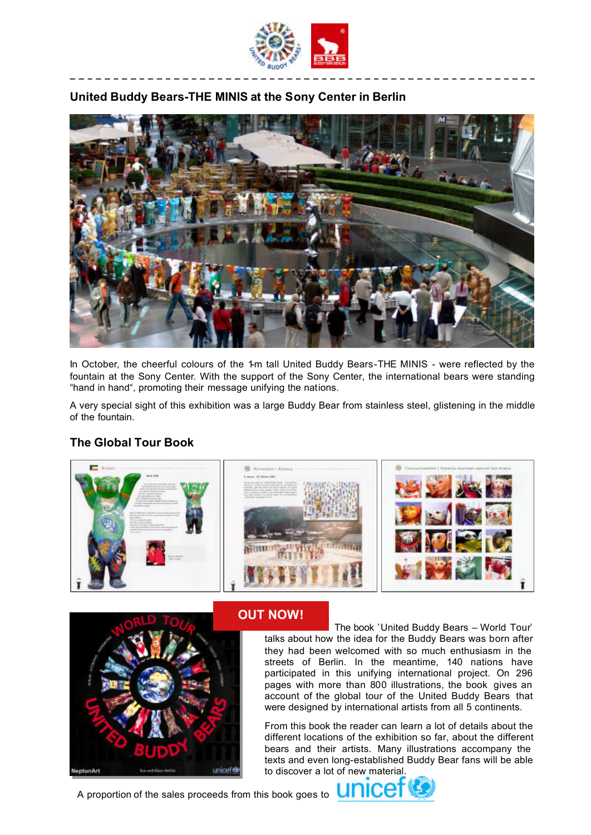

## **United Buddy Bears-THE MINIS at the Sony Center in Berlin**



In October, the cheerful colours of the 1-m tall United Buddy Bears-THE MINIS - were reflected by the fountain at the Sony Center. With the support of the Sony Center, the international bears were standing "hand in hand", promoting their message unifying the nations.

A very special sight of this exhibition was a large Buddy Bear from stainless steel, glistening in the middle of the fountain.

# **The Global Tour Book**





# **OUT NOW!**

 The book 'United Buddy Bears – World Tour' talks about how the idea for the Buddy Bears was born after they had been welcomed with so much enthusiasm in the streets of Berlin. In the meantime, 140 nations have participated in this unifying international project. On 296 pages with more than 800 illustrations, the book gives an account of the global tour of the United Buddy Bears that were designed by international artists from all 5 continents.

From this book the reader can learn a lot of details about the different locations of the exhibition so far, about the different bears and their artists. Many illustrations accompany the texts and even long-established Buddy Bear fans will be able to discover a lot of new material.

A proportion of the sales proceeds from this book goes to **UNICE**